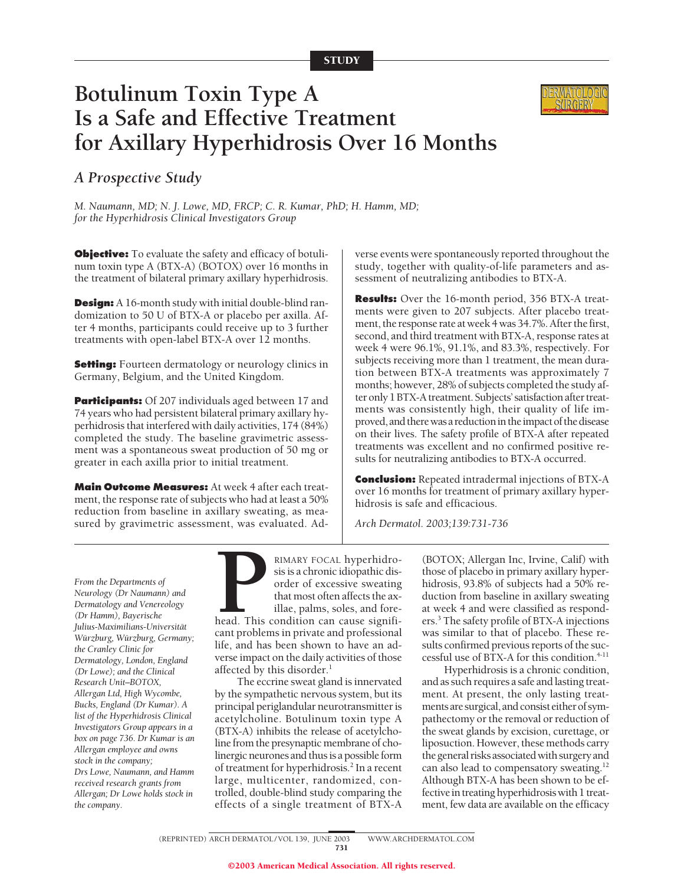# **Botulinum Toxin Type A Is a Safe and Effective Treatment for Axillary Hyperhidrosis Over 16 Months**

## *A Prospective Study*

*M. Naumann, MD; N. J. Lowe, MD, FRCP; C. R. Kumar, PhD; H. Hamm, MD; for the Hyperhidrosis Clinical Investigators Group*

**Objective:** To evaluate the safety and efficacy of botulinum toxin type A (BTX-A) (BOTOX) over 16 months in the treatment of bilateral primary axillary hyperhidrosis.

**Design:** A 16-month study with initial double-blind randomization to 50 U of BTX-A or placebo per axilla. After 4 months, participants could receive up to 3 further treatments with open-label BTX-A over 12 months.

**Setting:** Fourteen dermatology or neurology clinics in Germany, Belgium, and the United Kingdom.

**Participants:** Of 207 individuals aged between 17 and 74 years who had persistent bilateral primary axillary hyperhidrosis that interfered with daily activities, 174 (84%) completed the study. The baseline gravimetric assessment was a spontaneous sweat production of 50 mg or greater in each axilla prior to initial treatment.

**Main Outcome Measures:** At week 4 after each treatment, the response rate of subjects who had at least a 50% reduction from baseline in axillary sweating, as measured by gravimetric assessment, was evaluated. Adverse events were spontaneously reported throughout the study, together with quality-of-life parameters and assessment of neutralizing antibodies to BTX-A.

**Results:** Over the 16-month period, 356 BTX-A treatments were given to 207 subjects. After placebo treatment, the response rate at week 4 was 34.7%. After the first, second, and third treatment with BTX-A, response rates at week 4 were 96.1%, 91.1%, and 83.3%, respectively. For subjects receiving more than 1 treatment, the mean duration between BTX-A treatments was approximately 7 months; however, 28% of subjects completed the study after only 1 BTX-A treatment. Subjects' satisfaction after treatments was consistently high, their quality of life improved, and there was a reduction in the impact of the disease on their lives. The safety profile of BTX-A after repeated treatments was excellent and no confirmed positive results for neutralizing antibodies to BTX-A occurred.

**Conclusion:** Repeated intradermal injections of BTX-A over 16 months for treatment of primary axillary hyperhidrosis is safe and efficacious.

*Arch Dermatol. 2003;139:731-736*

*From the Departments of Neurology (Dr Naumann) and Dermatology and Venereology (Dr Hamm), Bayerische Julius-Maximilians-Universita¨t Wu¨rzburg, Wu¨rzburg, Germany; the Cranley Clinic for Dermatology, London, England (Dr Lowe); and the Clinical Research Unit–BOTOX, Allergan Ltd, High Wycombe, Bucks, England (Dr Kumar). A list of the Hyperhidrosis Clinical Investigators Group appears in a box on page 736. Dr Kumar is an Allergan employee and owns stock in the company; Drs Lowe, Naumann, and Hamm received research grants from Allergan; Dr Lowe holds stock in the company.*

**PENARY FOCAL hyperhidrosis is a chronic idiopathic disorder of excessive sweating that most often affects the axillae, palms, soles, and forehead. This condition can cause significant problems in private and professional** sis is a chronic idiopathic disorder of excessive sweating that most often affects the axillae, palms, soles, and fore-

head. This condition can cause significant problems in private and professional life, and has been shown to have an adverse impact on the daily activities of those affected by this disorder.<sup>1</sup>

The eccrine sweat gland is innervated by the sympathetic nervous system, but its principal periglandular neurotransmitter is acetylcholine. Botulinum toxin type A (BTX-A) inhibits the release of acetylcholine from the presynaptic membrane of cholinergic neurones and thus is a possible form of treatment for hyperhidrosis.<sup>2</sup> In a recent large, multicenter, randomized, controlled, double-blind study comparing the effects of a single treatment of BTX-A

(BOTOX; Allergan Inc, Irvine, Calif) with those of placebo in primary axillary hyperhidrosis, 93.8% of subjects had a 50% reduction from baseline in axillary sweating at week 4 and were classified as responders.3 The safety profile of BTX-A injections was similar to that of placebo. These results confirmed previous reports of the successful use of BTX-A for this condition.<sup>4-11</sup>

Hyperhidrosis is a chronic condition, and as such requires a safe and lasting treatment. At present, the only lasting treatments are surgical, and consist either of sympathectomy or the removal or reduction of the sweat glands by excision, curettage, or liposuction. However, these methods carry the general risks associated with surgery and can also lead to compensatory sweating.12 Although BTX-A has been shown to be effective in treating hyperhidrosis with 1 treatment, few data are available on the efficacy

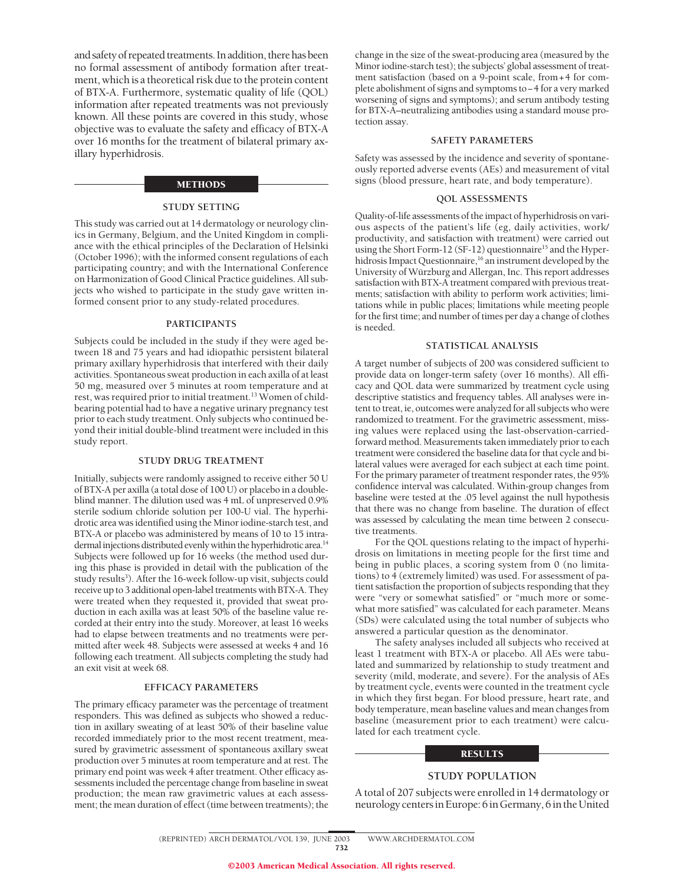and safety of repeated treatments. In addition, there has been no formal assessment of antibody formation after treatment, which is a theoretical risk due to the protein content of BTX-A. Furthermore, systematic quality of life (QOL) information after repeated treatments was not previously known. All these points are covered in this study, whose objective was to evaluate the safety and efficacy of BTX-A over 16 months for the treatment of bilateral primary axillary hyperhidrosis.

## METHODS

## **STUDY SETTING**

This study was carried out at 14 dermatology or neurology clinics in Germany, Belgium, and the United Kingdom in compliance with the ethical principles of the Declaration of Helsinki (October 1996); with the informed consent regulations of each participating country; and with the International Conference on Harmonization of Good Clinical Practice guidelines. All subjects who wished to participate in the study gave written informed consent prior to any study-related procedures.

#### **PARTICIPANTS**

Subjects could be included in the study if they were aged between 18 and 75 years and had idiopathic persistent bilateral primary axillary hyperhidrosis that interfered with their daily activities. Spontaneous sweat production in each axilla of at least 50 mg, measured over 5 minutes at room temperature and at rest, was required prior to initial treatment.13 Women of childbearing potential had to have a negative urinary pregnancy test prior to each study treatment. Only subjects who continued beyond their initial double-blind treatment were included in this study report.

#### **STUDY DRUG TREATMENT**

Initially, subjects were randomly assigned to receive either 50 U of BTX-A per axilla (a total dose of 100 U) or placebo in a doubleblind manner. The dilution used was 4 mL of unpreserved 0.9% sterile sodium chloride solution per 100-U vial. The hyperhidrotic area was identified using the Minor iodine-starch test, and BTX-A or placebo was administered by means of 10 to 15 intradermal injections distributed evenly within the hyperhidrotic area.<sup>14</sup> Subjects were followed up for 16 weeks (the method used during this phase is provided in detail with the publication of the study results<sup>3</sup>). After the 16-week follow-up visit, subjects could receive up to 3 additional open-label treatments with BTX-A. They were treated when they requested it, provided that sweat production in each axilla was at least 50% of the baseline value recorded at their entry into the study. Moreover, at least 16 weeks had to elapse between treatments and no treatments were permitted after week 48. Subjects were assessed at weeks 4 and 16 following each treatment. All subjects completing the study had an exit visit at week 68.

## **EFFICACY PARAMETERS**

The primary efficacy parameter was the percentage of treatment responders. This was defined as subjects who showed a reduction in axillary sweating of at least 50% of their baseline value recorded immediately prior to the most recent treatment, measured by gravimetric assessment of spontaneous axillary sweat production over 5 minutes at room temperature and at rest. The primary end point was week 4 after treatment. Other efficacy assessments included the percentage change from baseline in sweat production; the mean raw gravimetric values at each assessment; the mean duration of effect (time between treatments); the

change in the size of the sweat-producing area (measured by the Minor iodine-starch test); the subjects' global assessment of treatment satisfaction (based on a 9-point scale, from+4 for complete abolishment of signs and symptoms to−4 for a very marked worsening of signs and symptoms); and serum antibody testing for BTX-A–neutralizing antibodies using a standard mouse protection assay.

#### **SAFETY PARAMETERS**

Safety was assessed by the incidence and severity of spontaneously reported adverse events (AEs) and measurement of vital signs (blood pressure, heart rate, and body temperature).

#### **QOL ASSESSMENTS**

Quality-of-life assessments of the impact of hyperhidrosis on various aspects of the patient's life (eg, daily activities, work/ productivity, and satisfaction with treatment) were carried out using the Short Form-12 (SF-12) questionnaire<sup>15</sup> and the Hyperhidrosis Impact Questionnaire,<sup>16</sup> an instrument developed by the University of Würzburg and Allergan, Inc. This report addresses satisfaction with BTX-A treatment compared with previous treatments; satisfaction with ability to perform work activities; limitations while in public places; limitations while meeting people for the first time; and number of times per day a change of clothes is needed.

#### **STATISTICAL ANALYSIS**

A target number of subjects of 200 was considered sufficient to provide data on longer-term safety (over 16 months). All efficacy and QOL data were summarized by treatment cycle using descriptive statistics and frequency tables. All analyses were intent to treat, ie, outcomes were analyzed for all subjects who were randomized to treatment. For the gravimetric assessment, missing values were replaced using the last-observation-carriedforward method. Measurements taken immediately prior to each treatment were considered the baseline data for that cycle and bilateral values were averaged for each subject at each time point. For the primary parameter of treatment responder rates, the 95% confidence interval was calculated. Within-group changes from baseline were tested at the .05 level against the null hypothesis that there was no change from baseline. The duration of effect was assessed by calculating the mean time between 2 consecutive treatments.

For the QOL questions relating to the impact of hyperhidrosis on limitations in meeting people for the first time and being in public places, a scoring system from 0 (no limitations) to 4 (extremely limited) was used. For assessment of patient satisfaction the proportion of subjects responding that they were "very or somewhat satisfied" or "much more or somewhat more satisfied" was calculated for each parameter. Means (SDs) were calculated using the total number of subjects who answered a particular question as the denominator.

The safety analyses included all subjects who received at least 1 treatment with BTX-A or placebo. All AEs were tabulated and summarized by relationship to study treatment and severity (mild, moderate, and severe). For the analysis of AEs by treatment cycle, events were counted in the treatment cycle in which they first began. For blood pressure, heart rate, and body temperature, mean baseline values and mean changes from baseline (measurement prior to each treatment) were calculated for each treatment cycle.

#### **RESULTS**

#### **STUDY POPULATION**

A total of 207 subjects were enrolled in 14 dermatology or neurologycentersinEurope:6inGermany,6intheUnited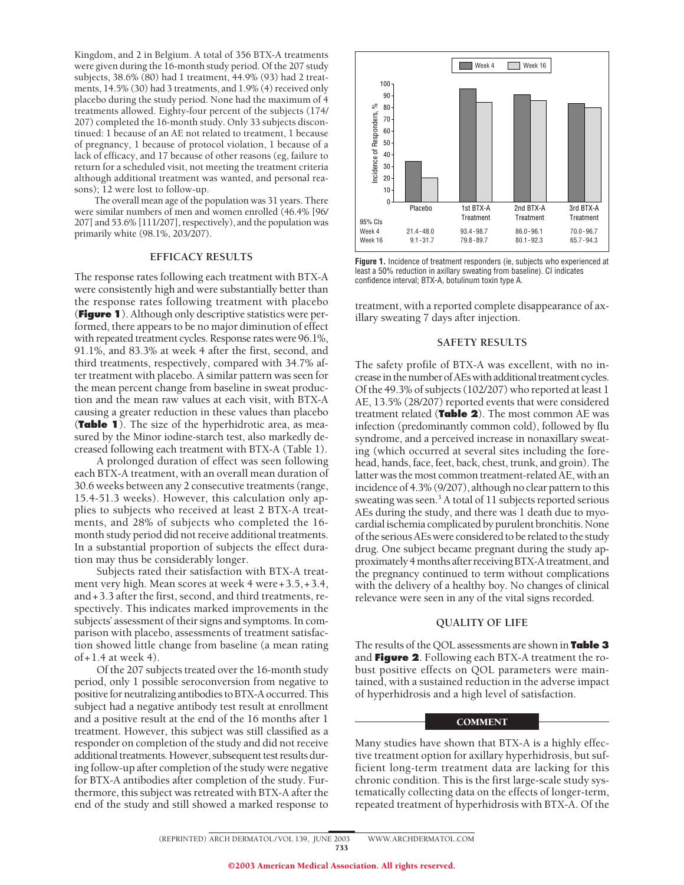Kingdom, and 2 in Belgium. A total of 356 BTX-A treatments were given during the 16-month study period. Of the 207 study subjects, 38.6% (80) had 1 treatment, 44.9% (93) had 2 treatments, 14.5% (30) had 3 treatments, and 1.9% (4) received only placebo during the study period. None had the maximum of 4 treatments allowed. Eighty-four percent of the subjects (174/ 207) completed the 16-month study. Only 33 subjects discontinued: 1 because of an AE not related to treatment, 1 because of pregnancy, 1 because of protocol violation, 1 because of a lack of efficacy, and 17 because of other reasons (eg, failure to return for a scheduled visit, not meeting the treatment criteria although additional treatment was wanted, and personal reasons); 12 were lost to follow-up.

The overall mean age of the population was 31 years. There were similar numbers of men and women enrolled (46.4% [96/ 207] and 53.6% [111/207], respectively), and the population was primarily white (98.1%, 203/207).

## **EFFICACY RESULTS**

The response rates following each treatment with BTX-A were consistently high and were substantially better than the response rates following treatment with placebo (**Figure 1**). Although only descriptive statistics were performed, there appears to be no major diminution of effect with repeated treatment cycles. Response rates were 96.1%, 91.1%, and 83.3% at week 4 after the first, second, and third treatments, respectively, compared with 34.7% after treatment with placebo. A similar pattern was seen for the mean percent change from baseline in sweat production and the mean raw values at each visit, with BTX-A causing a greater reduction in these values than placebo (**Table 1**). The size of the hyperhidrotic area, as measured by the Minor iodine-starch test, also markedly decreased following each treatment with BTX-A (Table 1).

A prolonged duration of effect was seen following each BTX-A treatment, with an overall mean duration of 30.6 weeks between any 2 consecutive treatments (range, 15.4-51.3 weeks). However, this calculation only applies to subjects who received at least 2 BTX-A treatments, and 28% of subjects who completed the 16 month study period did not receive additional treatments. In a substantial proportion of subjects the effect duration may thus be considerably longer.

Subjects rated their satisfaction with BTX-A treatment very high. Mean scores at week 4 were+3.5,+3.4, and+3.3 after the first, second, and third treatments, respectively. This indicates marked improvements in the subjects' assessment of their signs and symptoms. In comparison with placebo, assessments of treatment satisfaction showed little change from baseline (a mean rating  $of +1.4$  at week 4).

Of the 207 subjects treated over the 16-month study period, only 1 possible seroconversion from negative to positive for neutralizing antibodies to BTX-A occurred. This subject had a negative antibody test result at enrollment and a positive result at the end of the 16 months after 1 treatment. However, this subject was still classified as a responder on completion of the study and did not receive additional treatments. However, subsequent test results during follow-up after completion of the study were negative for BTX-A antibodies after completion of the study. Furthermore, this subject was retreated with BTX-A after the end of the study and still showed a marked response to



**Figure 1.** Incidence of treatment responders (ie, subjects who experienced at least a 50% reduction in axillary sweating from baseline). CI indicates confidence interval; BTX-A, botulinum toxin type A.

treatment, with a reported complete disappearance of axillary sweating 7 days after injection.

## **SAFETY RESULTS**

The safety profile of BTX-A was excellent, with no increase in the number of AEs with additional treatment cycles. Of the 49.3% of subjects (102/207) who reported at least 1 AE, 13.5% (28/207) reported events that were considered treatment related (**Table 2**). The most common AE was infection (predominantly common cold), followed by flu syndrome, and a perceived increase in nonaxillary sweating (which occurred at several sites including the forehead, hands, face, feet, back, chest, trunk, and groin). The latter was the most common treatment-related AE, with an incidence of 4.3% (9/207), although no clear pattern to this sweating was seen.<sup>3</sup> A total of 11 subjects reported serious AEs during the study, and there was 1 death due to myocardial ischemia complicated by purulent bronchitis. None of the serious AEs were considered to be related to the study drug. One subject became pregnant during the study approximately 4 months after receiving BTX-A treatment, and the pregnancy continued to term without complications with the delivery of a healthy boy. No changes of clinical relevance were seen in any of the vital signs recorded.

## **QUALITY OF LIFE**

The results of the QOL assessments are shown in **Table 3** and **Figure 2**. Following each BTX-A treatment the robust positive effects on QOL parameters were maintained, with a sustained reduction in the adverse impact of hyperhidrosis and a high level of satisfaction.

#### COMMENT

Many studies have shown that BTX-A is a highly effective treatment option for axillary hyperhidrosis, but sufficient long-term treatment data are lacking for this chronic condition. This is the first large-scale study systematically collecting data on the effects of longer-term, repeated treatment of hyperhidrosis with BTX-A. Of the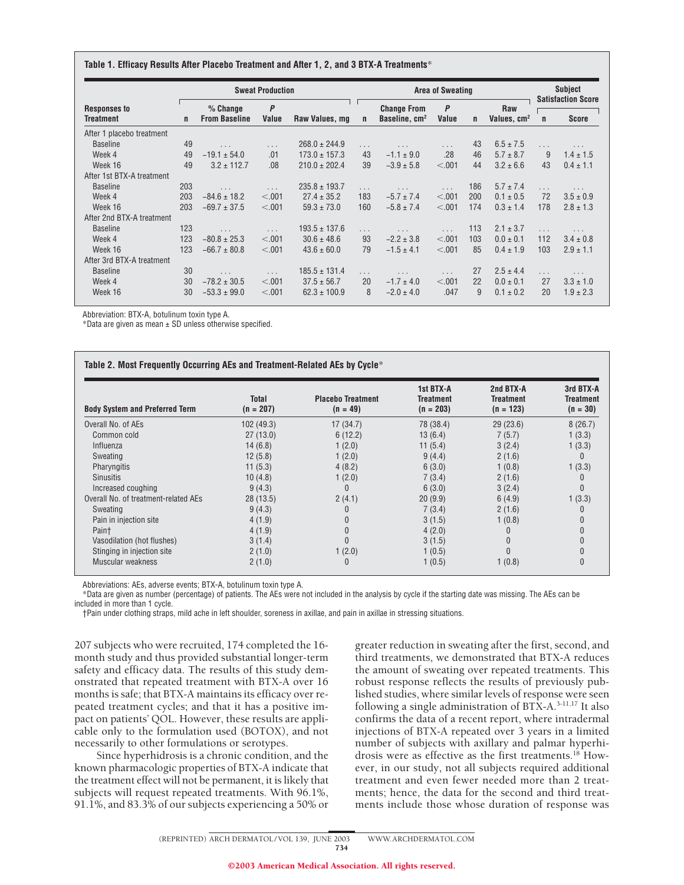#### **Table 1. Efficacy Results After Placebo Treatment and After 1, 2, and 3 BTX-A Treatments**\*

|                                         |     | <b>Sweat Production</b>            |                      |                   |              | <b>Area of Sweating</b>                         |                       |              |                                |             | Subject<br><b>Satisfaction Score</b> |  |
|-----------------------------------------|-----|------------------------------------|----------------------|-------------------|--------------|-------------------------------------------------|-----------------------|--------------|--------------------------------|-------------|--------------------------------------|--|
| <b>Responses to</b><br><b>Treatment</b> | n   | $%$ Change<br><b>From Baseline</b> | P<br>Value           | Raw Values, mg    | $\mathsf{n}$ | <b>Change From</b><br>Baseline, cm <sup>2</sup> | $\mathsf{P}$<br>Value | $\mathsf{n}$ | Raw<br>Values, cm <sup>2</sup> | $\mathbf n$ | <b>Score</b>                         |  |
| After 1 placebo treatment               |     |                                    |                      |                   |              |                                                 |                       |              |                                |             |                                      |  |
| <b>Baseline</b>                         | 49  | $\cdots$                           | $\ldots$             | $268.0 \pm 244.9$ | $\cdots$     | $\cdots$                                        | $\cdots$              | 43           | $6.5 \pm 7.5$                  | .           | $\cdots$                             |  |
| Week 4                                  | 49  | $-19.1 \pm 54.0$                   | .01                  | $173.0 \pm 157.3$ | 43           | $-1.1 \pm 9.0$                                  | .28                   | 46           | $5.7 \pm 8.7$                  | 9           | $1.4 \pm 1.5$                        |  |
| Week 16                                 | 49  | $3.2 \pm 112.7$                    | .08                  | $210.0 \pm 202.4$ | 39           | $-3.9 \pm 5.8$                                  | < .001                | 44           | $3.2 \pm 6.6$                  | 43          | $0.4 \pm 1.1$                        |  |
| After 1st BTX-A treatment               |     |                                    |                      |                   |              |                                                 |                       |              |                                |             |                                      |  |
| <b>Baseline</b>                         | 203 | $\cdots$                           | $\sim$ $\sim$        | $235.8 \pm 193.7$ | $\cdots$     |                                                 | $\cdots$              | 186          | $5.7 \pm 7.4$                  | $\cdots$    | $\cdots$                             |  |
| Week 4                                  | 203 | $-84.6 \pm 18.2$                   | < .001               | $27.4 \pm 35.2$   | 183          | $-5.7 \pm 7.4$                                  | < .001                | 200          | $0.1 \pm 0.5$                  | 72          | $3.5 \pm 0.9$                        |  |
| Week 16                                 | 203 | $-69.7 \pm 37.5$                   | < .001               | $59.3 \pm 73.0$   | 160          | $-5.8 \pm 7.4$                                  | < .001                | 174          | $0.3 \pm 1.4$                  | 178         | $2.8 \pm 1.3$                        |  |
| After 2nd BTX-A treatment               |     |                                    |                      |                   |              |                                                 |                       |              |                                |             |                                      |  |
| <b>Baseline</b>                         | 123 | $\cdots$                           | $\sim$ $\sim$ $\sim$ | $193.5 \pm 137.6$ | $\cdots$     | $\cdots$                                        | $\ldots$              | 113          | $2.1 \pm 3.7$                  | $\cdots$    | .                                    |  |
| Week 4                                  | 123 | $-80.8 \pm 25.3$                   | < .001               | $30.6 \pm 48.6$   | 93           | $-2.2 \pm 3.8$                                  | < .001                | 103          | $0.0 \pm 0.1$                  | 112         | $3.4 \pm 0.8$                        |  |
| Week 16                                 | 123 | $-66.7 \pm 80.8$                   | < .001               | $43.6 \pm 60.0$   | 79           | $-1.5 \pm 4.1$                                  | < .001                | 85           | $0.4 \pm 1.9$                  | 103         | $2.9 \pm 1.1$                        |  |
| After 3rd BTX-A treatment               |     |                                    |                      |                   |              |                                                 |                       |              |                                |             |                                      |  |
| <b>Baseline</b>                         | 30  | $\cdots$                           | $\cdots$             | $185.5 \pm 131.4$ | $\cdots$     | $\cdots$                                        | $\cdots$              | 27           | $2.5 \pm 4.4$                  | $\cdots$    |                                      |  |
| Week 4                                  | 30  | $-78.2 \pm 30.5$                   | < .001               | $37.5 \pm 56.7$   | 20           | $-1.7 \pm 4.0$                                  | < .001                | 22           | $0.0 \pm 0.1$                  | 27          | $3.3 \pm 1.0$                        |  |
| Week 16                                 | 30  | $-53.3 \pm 99.0$                   | < 0.001              | $62.3 \pm 100.9$  | 8            | $-2.0 \pm 4.0$                                  | .047                  | 9            | $0.1 \pm 0.2$                  | 20          | $1.9 \pm 2.3$                        |  |

Abbreviation: BTX-A, botulinum toxin type A.

\*Data are given as mean  $\pm$  SD unless otherwise specified.

| <b>Body System and Preferred Term</b> | <b>Total</b><br>$(n = 207)$ | <b>Placebo Treatment</b><br>$(n = 49)$ | 1st BTX-A<br><b>Treatment</b><br>$(n = 203)$ | 2nd BTX-A<br><b>Treatment</b><br>$(n = 123)$ | 3rd BTX-A<br><b>Treatment</b><br>$(n = 30)$ |
|---------------------------------------|-----------------------------|----------------------------------------|----------------------------------------------|----------------------------------------------|---------------------------------------------|
| Overall No. of AEs                    | 102 (49.3)                  | 17(34.7)                               | 78 (38.4)                                    | 29(23.6)                                     | 8(26.7)                                     |
| Common cold                           | 27(13.0)                    | 6(12.2)                                | 13(6.4)                                      | 7(5.7)                                       | 1(3.3)                                      |
| Influenza                             | 14(6.8)                     | 1(2.0)                                 | 11 $(5.4)$                                   | 3(2.4)                                       | 1(3.3)                                      |
| Sweating                              | 12(5.8)                     | 1(2.0)                                 | 9(4.4)                                       | 2(1.6)                                       | $\Omega$                                    |
| Pharyngitis                           | 11(5.3)                     | 4(8.2)                                 | 6(3.0)                                       | 1(0.8)                                       | 1(3.3)                                      |
| <b>Sinusitis</b>                      | 10(4.8)                     | 1(2.0)                                 | 7(3.4)                                       | 2(1.6)                                       | 0                                           |
| Increased coughing                    | 9(4.3)                      | 0                                      | 6(3.0)                                       | 3(2.4)                                       | $\Omega$                                    |
| Overall No. of treatment-related AEs  | 28(13.5)                    | 2(4.1)                                 | 20(9.9)                                      | 6(4.9)                                       | 1(3.3)                                      |
| Sweating                              | 9(4.3)                      |                                        | 7(3.4)                                       | 2(1.6)                                       | 0                                           |
| Pain in injection site                | 4(1.9)                      |                                        | 3(1.5)                                       | 1(0.8)                                       |                                             |
| Pain+                                 | 4(1.9)                      |                                        | 4(2.0)                                       |                                              |                                             |
| Vasodilation (hot flushes)            | 3(1.4)                      |                                        | 3(1.5)                                       |                                              |                                             |
| Stinging in injection site            | 2(1.0)                      | 1(2.0)                                 | 1(0.5)                                       |                                              |                                             |
| Muscular weakness                     | 2(1.0)                      | 0                                      | 1(0.5)                                       | 1(0.8)                                       | $\Omega$                                    |

Abbreviations: AEs, adverse events; BTX-A, botulinum toxin type A.

\*Data are given as number (percentage) of patients. The AEs were not included in the analysis by cycle if the starting date was missing. The AEs can be included in more than 1 cycle.

†Pain under clothing straps, mild ache in left shoulder, soreness in axillae, and pain in axillae in stressing situations.

207 subjects who were recruited, 174 completed the 16 month study and thus provided substantial longer-term safety and efficacy data. The results of this study demonstrated that repeated treatment with BTX-A over 16 months is safe; that BTX-A maintains its efficacy over repeated treatment cycles; and that it has a positive impact on patients' QOL. However, these results are applicable only to the formulation used (BOTOX), and not necessarily to other formulations or serotypes.

Since hyperhidrosis is a chronic condition, and the known pharmacologic properties of BTX-A indicate that the treatment effect will not be permanent, it is likely that subjects will request repeated treatments. With 96.1%, 91.1%, and 83.3% of our subjects experiencing a 50% or greater reduction in sweating after the first, second, and third treatments, we demonstrated that BTX-A reduces the amount of sweating over repeated treatments. This robust response reflects the results of previously published studies, where similar levels of response were seen following a single administration of  $BTX-A$ .<sup>3-11,17</sup> It also confirms the data of a recent report, where intradermal injections of BTX-A repeated over 3 years in a limited number of subjects with axillary and palmar hyperhidrosis were as effective as the first treatments.<sup>18</sup> However, in our study, not all subjects required additional treatment and even fewer needed more than 2 treatments; hence, the data for the second and third treatments include those whose duration of response was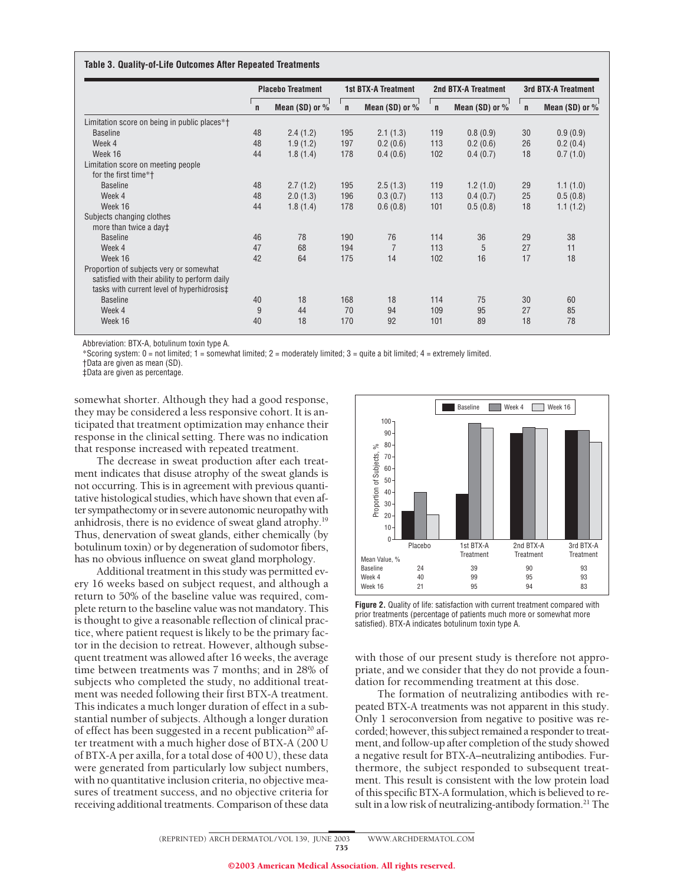#### **Table 3. Quality-of-Life Outcomes After Repeated Treatments**

|                                                                                                                                        | <b>Placebo Treatment</b> |                    | <b>1st BTX-A Treatment</b> |                |              | 2nd BTX-A Treatment | 3rd BTX-A Treatment |                    |  |
|----------------------------------------------------------------------------------------------------------------------------------------|--------------------------|--------------------|----------------------------|----------------|--------------|---------------------|---------------------|--------------------|--|
|                                                                                                                                        | $\mathsf{n}$             | Mean $(SD)$ or $%$ | $\mathsf{n}$               | Mean (SD) or % | $\mathsf{n}$ | Mean $(SD)$ or $%$  | $\mathbf n$         | Mean $(SD)$ or $%$ |  |
| Limitation score on being in public places*†                                                                                           |                          |                    |                            |                |              |                     |                     |                    |  |
| <b>Baseline</b>                                                                                                                        | 48                       | 2.4(1.2)           | 195                        | 2.1(1.3)       | 119          | 0.8(0.9)            | 30                  | 0.9(0.9)           |  |
| Week 4                                                                                                                                 | 48                       | 1.9(1.2)           | 197                        | 0.2(0.6)       | 113          | 0.2(0.6)            | 26                  | 0.2(0.4)           |  |
| Week 16                                                                                                                                | 44                       | 1.8(1.4)           | 178                        | 0.4(0.6)       | 102          | 0.4(0.7)            | 18                  | 0.7(1.0)           |  |
| Limitation score on meeting people<br>for the first time*†                                                                             |                          |                    |                            |                |              |                     |                     |                    |  |
| <b>Baseline</b>                                                                                                                        | 48                       | 2.7(1.2)           | 195                        | 2.5(1.3)       | 119          | 1.2(1.0)            | 29                  | 1.1(1.0)           |  |
| Week 4                                                                                                                                 | 48                       | 2.0(1.3)           | 196                        | 0.3(0.7)       | 113          | 0.4(0.7)            | 25                  | 0.5(0.8)           |  |
| Week 16                                                                                                                                | 44                       | 1.8(1.4)           | 178                        | 0.6(0.8)       | 101          | 0.5(0.8)            | 18                  | 1.1(1.2)           |  |
| Subjects changing clothes<br>more than twice a day‡                                                                                    |                          |                    |                            |                |              |                     |                     |                    |  |
| <b>Baseline</b>                                                                                                                        | 46                       | 78                 | 190                        | 76             | 114          | 36                  | 29                  | 38                 |  |
| Week 4                                                                                                                                 | 47                       | 68                 | 194                        | $\overline{7}$ | 113          | 5                   | 27                  | 11                 |  |
| Week 16                                                                                                                                | 42                       | 64                 | 175                        | 14             | 102          | 16                  | 17                  | 18                 |  |
| Proportion of subjects very or somewhat<br>satisfied with their ability to perform daily<br>tasks with current level of hyperhidrosis‡ |                          |                    |                            |                |              |                     |                     |                    |  |
| <b>Baseline</b>                                                                                                                        | 40                       | 18                 | 168                        | 18             | 114          | 75                  | 30                  | 60                 |  |
| Week 4                                                                                                                                 | 9                        | 44                 | 70                         | 94             | 109          | 95                  | 27                  | 85                 |  |
| Week 16                                                                                                                                | 40                       | 18                 | 170                        | 92             | 101          | 89                  | 18                  | 78                 |  |

Abbreviation: BTX-A, botulinum toxin type A.

\*Scoring system: 0 = not limited; 1 = somewhat limited; 2 = moderately limited; 3 = quite a bit limited; 4 = extremely limited.

†Data are given as mean (SD). ‡Data are given as percentage.

somewhat shorter. Although they had a good response, they may be considered a less responsive cohort. It is anticipated that treatment optimization may enhance their response in the clinical setting. There was no indication that response increased with repeated treatment.

The decrease in sweat production after each treatment indicates that disuse atrophy of the sweat glands is not occurring. This is in agreement with previous quantitative histological studies, which have shown that even after sympathectomy or in severe autonomic neuropathy with anhidrosis, there is no evidence of sweat gland atrophy.19 Thus, denervation of sweat glands, either chemically (by botulinum toxin) or by degeneration of sudomotor fibers, has no obvious influence on sweat gland morphology.

Additional treatment in this study was permitted every 16 weeks based on subject request, and although a return to 50% of the baseline value was required, complete return to the baseline value was not mandatory. This is thought to give a reasonable reflection of clinical practice, where patient request is likely to be the primary factor in the decision to retreat. However, although subsequent treatment was allowed after 16 weeks, the average time between treatments was 7 months; and in 28% of subjects who completed the study, no additional treatment was needed following their first BTX-A treatment. This indicates a much longer duration of effect in a substantial number of subjects. Although a longer duration of effect has been suggested in a recent publication<sup>20</sup> after treatment with a much higher dose of BTX-A (200 U of BTX-A per axilla, for a total dose of 400 U), these data were generated from particularly low subject numbers, with no quantitative inclusion criteria, no objective measures of treatment success, and no objective criteria for receiving additional treatments. Comparison of these data



**Figure 2.** Quality of life: satisfaction with current treatment compared with prior treatments (percentage of patients much more or somewhat more satisfied). BTX-A indicates botulinum toxin type A.

with those of our present study is therefore not appropriate, and we consider that they do not provide a foundation for recommending treatment at this dose.

The formation of neutralizing antibodies with repeated BTX-A treatments was not apparent in this study. Only 1 seroconversion from negative to positive was recorded; however, this subject remained a responder to treatment, and follow-up after completion of the study showed a negative result for BTX-A–neutralizing antibodies. Furthermore, the subject responded to subsequent treatment. This result is consistent with the low protein load of this specific BTX-A formulation, which is believed to result in a low risk of neutralizing-antibody formation.<sup>21</sup> The